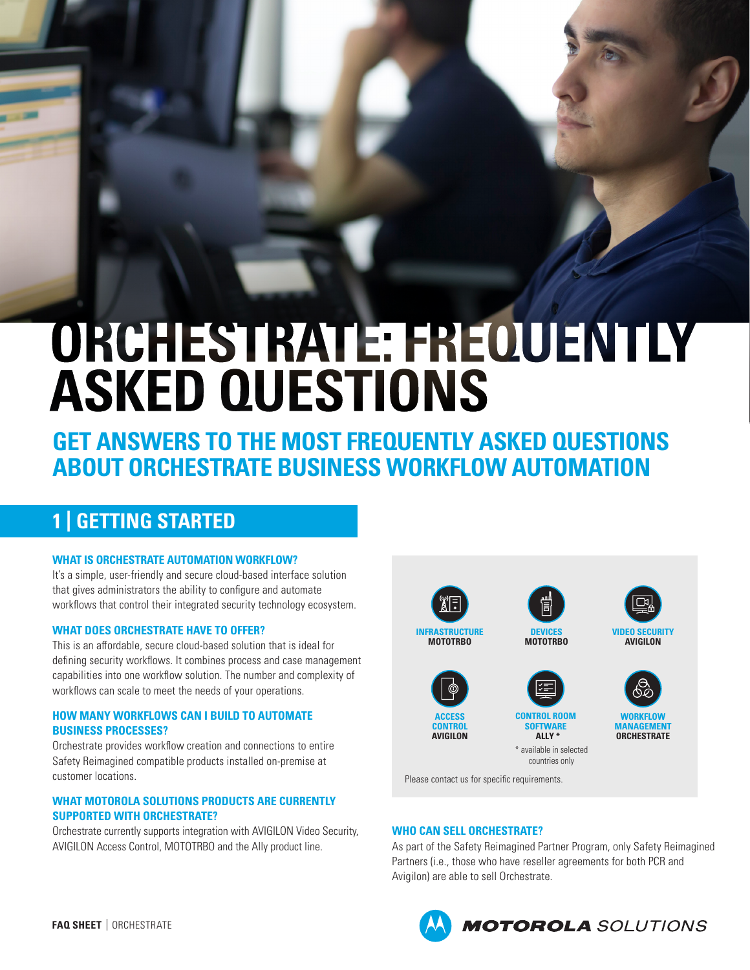# **ORCHESTRATE: FREQUENTLY ASKED QUESTIONS**

**GET ANSWERS TO THE MOST FREQUENTLY ASKED QUESTIONS ABOUT ORCHESTRATE BUSINESS WORKFLOW AUTOMATION**

## **1 | GETTING STARTED**

#### **WHAT IS ORCHESTRATE AUTOMATION WORKFLOW?**

It's a simple, user-friendly and secure cloud-based interface solution that gives administrators the ability to configure and automate workflows that control their integrated security technology ecosystem.

#### **WHAT DOES ORCHESTRATE HAVE TO OFFER?**

This is an affordable, secure cloud-based solution that is ideal for defining security workflows. It combines process and case management capabilities into one workflow solution. The number and complexity of workflows can scale to meet the needs of your operations.

#### **HOW MANY WORKFLOWS CAN I BUILD TO AUTOMATE BUSINESS PROCESSES?**

Orchestrate provides workflow creation and connections to entire Safety Reimagined compatible products installed on-premise at customer locations.

#### **WHAT MOTOROLA SOLUTIONS PRODUCTS ARE CURRENTLY SUPPORTED WITH ORCHESTRATE?**

Orchestrate currently supports integration with AVIGILON Video Security, AVIGILON Access Control, MOTOTRBO and the Ally product line.



Please contact us for specific requirements.

#### **WHO CAN SELL ORCHESTRATE?**

As part of the Safety Reimagined Partner Program, only Safety Reimagined Partners (i.e., those who have reseller agreements for both PCR and Avigilon) are able to sell Orchestrate.



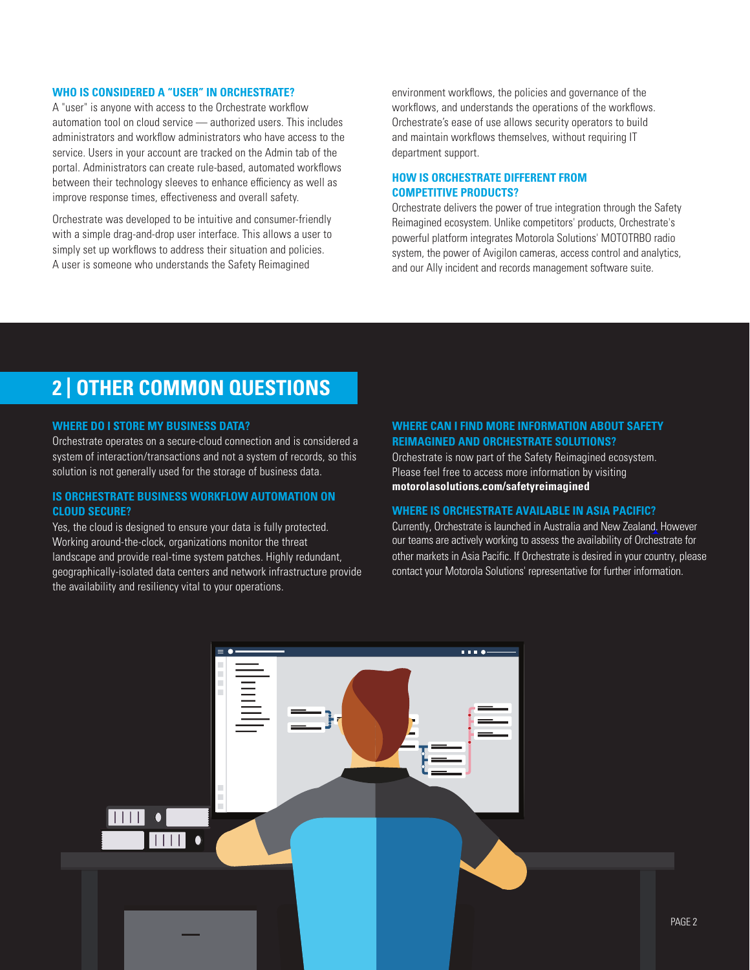#### **WHO IS CONSIDERED A "USER" IN ORCHESTRATE?**

A "user" is anyone with access to the Orchestrate workflow automation tool on cloud service — authorized users. This includes administrators and workflow administrators who have access to the service. Users in your account are tracked on the Admin tab of the portal. Administrators can create rule-based, automated workflows between their technology sleeves to enhance efficiency as well as improve response times, effectiveness and overall safety.

Orchestrate was developed to be intuitive and consumer-friendly with a simple drag-and-drop user interface. This allows a user to simply set up workflows to address their situation and policies. A user is someone who understands the Safety Reimagined

environment workflows, the policies and governance of the workflows, and understands the operations of the workflows. Orchestrate's ease of use allows security operators to build and maintain workflows themselves, without requiring IT department support.

#### **HOW IS ORCHESTRATE DIFFERENT FROM COMPETITIVE PRODUCTS?**

Orchestrate delivers the power of true integration through the Safety Reimagined ecosystem. Unlike competitors' products, Orchestrate's powerful platform integrates Motorola Solutions' MOTOTRBO radio system, the power of Avigilon cameras, access control and analytics, and our Ally incident and records management software suite.

### **2 | OTHER COMMON QUESTIONS**

#### **WHERE DO I STORE MY BUSINESS DATA?**

Orchestrate operates on a secure-cloud connection and is considered a system of interaction/transactions and not a system of records, so this solution is not generally used for the storage of business data.

#### **IS ORCHESTRATE BUSINESS WORKFLOW AUTOMATION ON CLOUD SECURE?**

Yes, the cloud is designed to ensure your data is fully protected. Working around-the-clock, organizations monitor the threat landscape and provide real-time system patches. Highly redundant, geographically-isolated data centers and network infrastructure provide the availability and resiliency vital to your operations.

#### **WHERE CAN I FIND MORE INFORMATION ABOUT SAFETY REIMAGINED AND ORCHESTRATE SOLUTIONS?**

Orchestrate is now part of the Safety Reimagined ecosystem. Please feel free to access more information by visiting **[motorolasolutions.com/safetyreimagined](http://www.motorolasolutions.com/safetyreimagined)**

#### **WHERE IS ORCHESTRATE AVAILABLE IN ASIA PACIFIC?**

Currently, Orchestrate is launched in Australia and New Zealand. However our teams are actively working to assess the availability of Orchestrate for other markets in Asia Pacific. If Orchestrate is desired in your country, please contact your Motorola Solutions' representative for further information.